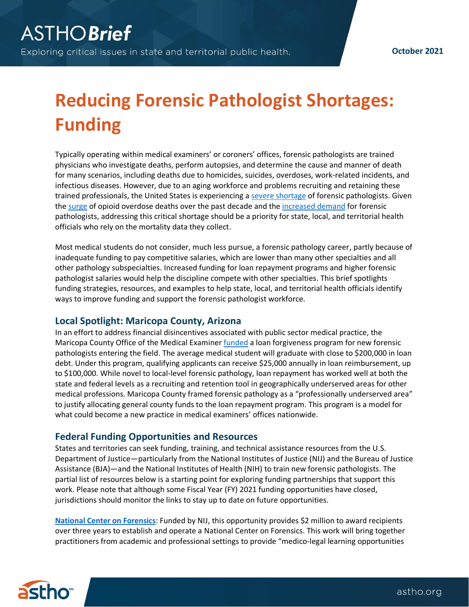## **Reducing Forensic Pathologist Shortages: Funding**

Typically operating within medical examiners' or coroners' offices, forensic pathologists are trained physicians who investigate deaths, perform autopsies, and determine the cause and manner of death for many scenarios, including deaths due to homicides, suicides, overdoses, work-related incidents, and infectious diseases. However, due to an aging workforce and problems recruiting and retaining these trained professionals, the United States is experiencing a [severe shortage](https://www.justice.gov/archives/ncfs/page/file/641641/download) of forensic pathologists. Given the [surge](https://www.tfah.org/article/drug-death-rates-continue-rise-during-pandemic/) of opioid overdose deaths over the past decade and th[e increased demand](https://www.astho.org/generickey/GenericKeyDetails.aspx?id=20515&terms=forensic+pathology) for forensic pathologists, addressing this critical shortage should be a priority for state, local, and territorial health officials who rely on the mortality data they collect.

Most medical students do not consider, much less pursue, a forensic pathology career, partly because of inadequate funding to pay competitive salaries, which are lower than many other specialties and all other pathology subspecialties. Increased funding for loan repayment programs and higher forensic pathologist salaries would help the discipline compete with other specialties. This brief spotlights funding strategies, resources, and examples to help state, local, and territorial health officials identify ways to improve funding and support the forensic pathologist workforce.

## **Local Spotlight: Maricopa County, Arizona**

In an effort to address financial disincentives associated with public sector medical practice, the Maricopa County Office of the Medical Examiner [funded](https://www.maricopa.gov/CivicAlerts.aspx?AID=340&ARC=825) a loan forgiveness program for new forensic pathologists entering the field. The average medical student will graduate with close to \$200,000 in loan debt. Under this program, qualifying applicants can receive \$25,000 annually in loan reimbursement, up to \$100,000. While novel to local-level forensic pathology, loan repayment has worked well at both the state and federal levels as a recruiting and retention tool in geographically underserved areas for other medical professions. Maricopa County framed forensic pathology as a "professionally underserved area" to justify allocating general county funds to the loan repayment program. This program is a model for what could become a new practice in medical examiners' offices nationwide.

## **Federal Funding Opportunities and Resources**

States and territories can seek funding, training, and technical assistance resources from the U.S. Department of Justice—particularly from the National Institutes of Justice (NIJ) and the Bureau of Justice Assistance (BJA)—and the National Institutes of Health (NIH) to train new forensic pathologists. The partial list of resources below is a starting point for exploring funding partnerships that support this work. Please note that although some Fiscal Year (FY) 2021 funding opportunities have closed, jurisdictions should monitor the links to stay up to date on future opportunities.

**[National Center on Forensics](https://nij.ojp.gov/funding/opportunities/nij-2020-18372)**: Funded by NIJ, this opportunity provides \$2 million to award recipients over three years to establish and operate a National Center on Forensics. This work will bring together practitioners from academic and professional settings to provide "medico-legal learning opportunities